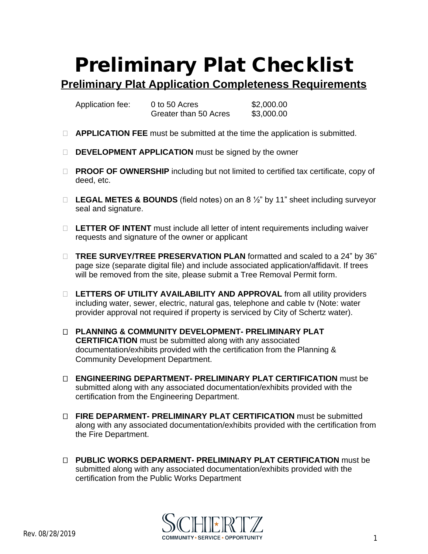## **Preliminary Plat Checklist**

**Preliminary Plat Application Completeness Requirements**

Application fee: 0 to 50 Acres \$2,000.00 Greater than 50 Acres \$3,000.00

- **APPLICATION FEE** must be submitted at the time the application is submitted.
- **DEVELOPMENT APPLICATION** must be signed by the owner
- □ **PROOF OF OWNERSHIP** including but not limited to certified tax certificate, copy of deed, etc.
- **LEGAL METES & BOUNDS** (field notes) on an 8 ½" by 11" sheet including surveyor seal and signature.
- **LETTER OF INTENT** must include all letter of intent requirements including waiver requests and signature of the owner or applicant
- **TREE SURVEY/TREE PRESERVATION PLAN** formatted and scaled to a 24" by 36" page size (separate digital file) and include associated application/affidavit. If trees will be removed from the site, please submit a Tree Removal Permit form.
- □ LETTERS OF UTILITY AVAILABILITY AND APPROVAL from all utility providers including water, sewer, electric, natural gas, telephone and cable tv (Note: water provider approval not required if property is serviced by City of Schertz water).
- **PLANNING & COMMUNITY DEVELOPMENT- PRELIMINARY PLAT CERTIFICATION** must be submitted along with any associated documentation/exhibits provided with the certification from the Planning & Community Development Department.
- **ENGINEERING DEPARTMENT- PRELIMINARY PLAT CERTIFICATION** must be submitted along with any associated documentation/exhibits provided with the certification from the Engineering Department.
- **FIRE DEPARMENT- PRELIMINARY PLAT CERTIFICATION** must be submitted along with any associated documentation/exhibits provided with the certification from the Fire Department.
- **PUBLIC WORKS DEPARMENT- PRELIMINARY PLAT CERTIFICATION** must be submitted along with any associated documentation/exhibits provided with the certification from the Public Works Department